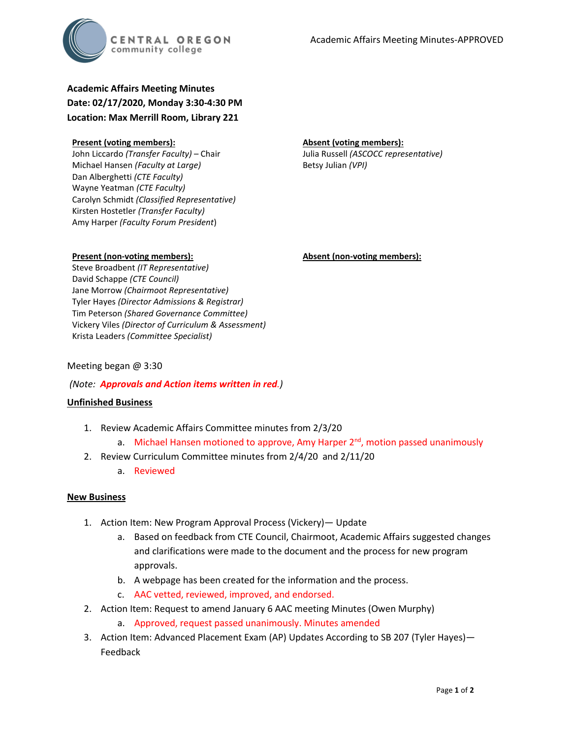

# **Academic Affairs Meeting Minutes Date: 02/17/2020, Monday 3:30-4:30 PM Location: Max Merrill Room, Library 221**

#### **Present (voting members):**

John Liccardo *(Transfer Faculty)* – Chair Michael Hansen *(Faculty at Large)* Dan Alberghetti *(CTE Faculty)* Wayne Yeatman *(CTE Faculty)* Carolyn Schmidt *(Classified Representative)* Kirsten Hostetler *(Transfer Faculty)* Amy Harper *(Faculty Forum President*)

#### **Absent (voting members):**

Julia Russell *(ASCOCC representative)* Betsy Julian *(VPI)*

#### **Present (non-voting members):**

**Absent (non-voting members):**

Steve Broadbent *(IT Representative)* David Schappe *(CTE Council)* Jane Morrow *(Chairmoot Representative)* Tyler Hayes *(Director Admissions & Registrar)* Tim Peterson *(Shared Governance Committee)* Vickery Viles *(Director of Curriculum & Assessment)* Krista Leaders *(Committee Specialist)*

### Meeting began @ 3:30

## *(Note: Approvals and Action items written in red.)*

## **Unfinished Business**

- 1. Review Academic Affairs Committee minutes from 2/3/20
	- a. Michael Hansen motioned to approve, Amy Harper  $2<sup>nd</sup>$ , motion passed unanimously
- 2. Review Curriculum Committee minutes from 2/4/20 and 2/11/20
	- a. Reviewed

#### **New Business**

- 1. Action Item: New Program Approval Process (Vickery)— Update
	- a. Based on feedback from CTE Council, Chairmoot, Academic Affairs suggested changes and clarifications were made to the document and the process for new program approvals.
	- b. A webpage has been created for the information and the process.
	- c. AAC vetted, reviewed, improved, and endorsed.
- 2. Action Item: Request to amend January 6 AAC meeting Minutes (Owen Murphy)
	- a. Approved, request passed unanimously. Minutes amended
- 3. Action Item: Advanced Placement Exam (AP) Updates According to SB 207 (Tyler Hayes)— Feedback